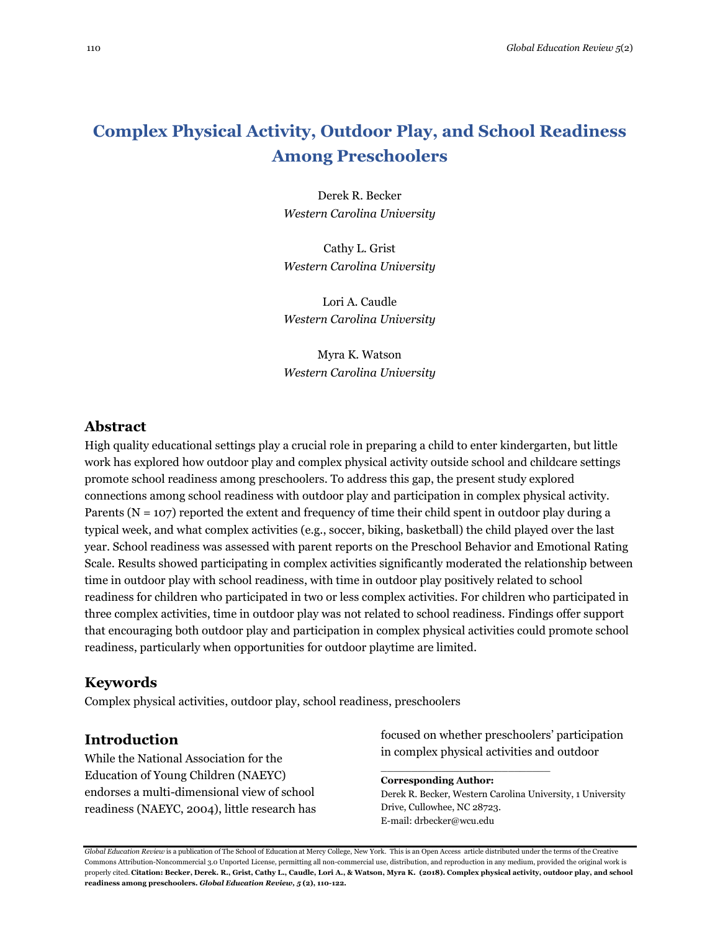# **Complex Physical Activity, Outdoor Play, and School Readiness Among Preschoolers**

Derek R. Becker *Western Carolina University*

Cathy L. Grist *Western Carolina University*

Lori A. Caudle *Western Carolina University*

Myra K. Watson *Western Carolina University*

# **Abstract**

High quality educational settings play a crucial role in preparing a child to enter kindergarten, but little work has explored how outdoor play and complex physical activity outside school and childcare settings promote school readiness among preschoolers. To address this gap, the present study explored connections among school readiness with outdoor play and participation in complex physical activity. Parents ( $N = 107$ ) reported the extent and frequency of time their child spent in outdoor play during a typical week, and what complex activities (e.g., soccer, biking, basketball) the child played over the last year. School readiness was assessed with parent reports on the Preschool Behavior and Emotional Rating Scale. Results showed participating in complex activities significantly moderated the relationship between time in outdoor play with school readiness, with time in outdoor play positively related to school readiness for children who participated in two or less complex activities. For children who participated in three complex activities, time in outdoor play was not related to school readiness. Findings offer support that encouraging both outdoor play and participation in complex physical activities could promote school readiness, particularly when opportunities for outdoor playtime are limited.

# **Keywords**

Complex physical activities, outdoor play, school readiness, preschoolers

# **Introduction**

While the National Association for the Education of Young Children (NAEYC) endorses a multi-dimensional view of school readiness (NAEYC, 2004), little research has focused on whether preschoolers' participation in complex physical activities and outdoor

\_\_\_\_\_\_\_\_\_\_\_\_\_\_\_\_\_\_\_\_\_\_\_\_\_\_\_\_ **Corresponding Author:** Derek R. Becker, Western Carolina University, 1 University Drive, Cullowhee, NC 28723. E-mail: drbecker@wcu.edu

*Global Education Review* is a publication of The School of Education at Mercy College, New York. This is an Open Access article distributed under the terms of the Creative Commons Attribution-Noncommercial 3.0 Unported License, permitting all non-commercial use, distribution, and reproduction in any medium, provided the original work is properly cited. Citation: Becker, Derek. R., Grist, Cathy L., Caudle, Lori A., & Watson, Myra K. (2018). Complex physical activity, outdoor play, and school **readiness among preschoolers***. Global Education Review, 5* **(2), 110-122.**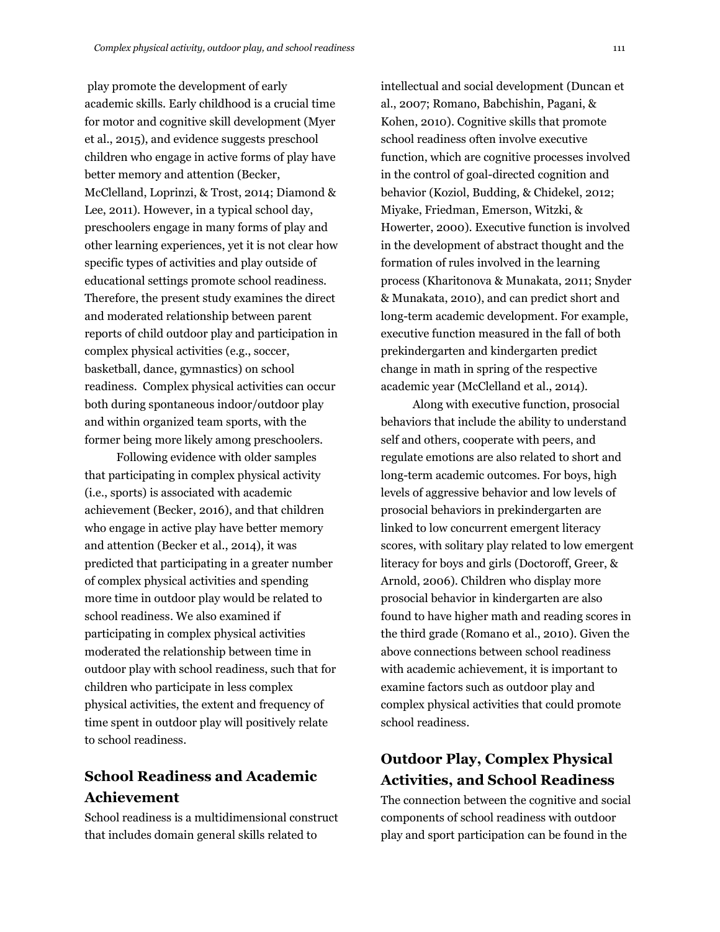play promote the development of early academic skills. Early childhood is a crucial time for motor and cognitive skill development (Myer et al., 2015), and evidence suggests preschool children who engage in active forms of play have better memory and attention (Becker, McClelland, Loprinzi, & Trost, 2014; Diamond & Lee, 2011). However, in a typical school day, preschoolers engage in many forms of play and other learning experiences, yet it is not clear how specific types of activities and play outside of educational settings promote school readiness. Therefore, the present study examines the direct and moderated relationship between parent reports of child outdoor play and participation in complex physical activities (e.g., soccer, basketball, dance, gymnastics) on school readiness. Complex physical activities can occur both during spontaneous indoor/outdoor play and within organized team sports, with the former being more likely among preschoolers.

Following evidence with older samples that participating in complex physical activity (i.e., sports) is associated with academic achievement (Becker, 2016), and that children who engage in active play have better memory and attention (Becker et al., 2014), it was predicted that participating in a greater number of complex physical activities and spending more time in outdoor play would be related to school readiness. We also examined if participating in complex physical activities moderated the relationship between time in outdoor play with school readiness, such that for children who participate in less complex physical activities, the extent and frequency of time spent in outdoor play will positively relate to school readiness.

# **School Readiness and Academic Achievement**

School readiness is a multidimensional construct that includes domain general skills related to

intellectual and social development (Duncan et al., 2007; Romano, Babchishin, Pagani, & Kohen, 2010). Cognitive skills that promote school readiness often involve executive function, which are cognitive processes involved in the control of goal-directed cognition and behavior (Koziol, Budding, & Chidekel, 2012; Miyake, Friedman, Emerson, Witzki, & Howerter, 2000). Executive function is involved in the development of abstract thought and the formation of rules involved in the learning process (Kharitonova & Munakata, 2011; Snyder & Munakata, 2010), and can predict short and long-term academic development. For example, executive function measured in the fall of both prekindergarten and kindergarten predict change in math in spring of the respective academic year (McClelland et al., 2014).

Along with executive function, prosocial behaviors that include the ability to understand self and others, cooperate with peers, and regulate emotions are also related to short and long-term academic outcomes. For boys, high levels of aggressive behavior and low levels of prosocial behaviors in prekindergarten are linked to low concurrent emergent literacy scores, with solitary play related to low emergent literacy for boys and girls (Doctoroff, Greer, & Arnold, 2006). Children who display more prosocial behavior in kindergarten are also found to have higher math and reading scores in the third grade (Romano et al., 2010). Given the above connections between school readiness with academic achievement, it is important to examine factors such as outdoor play and complex physical activities that could promote school readiness.

# **Outdoor Play, Complex Physical Activities, and School Readiness**

The connection between the cognitive and social components of school readiness with outdoor play and sport participation can be found in the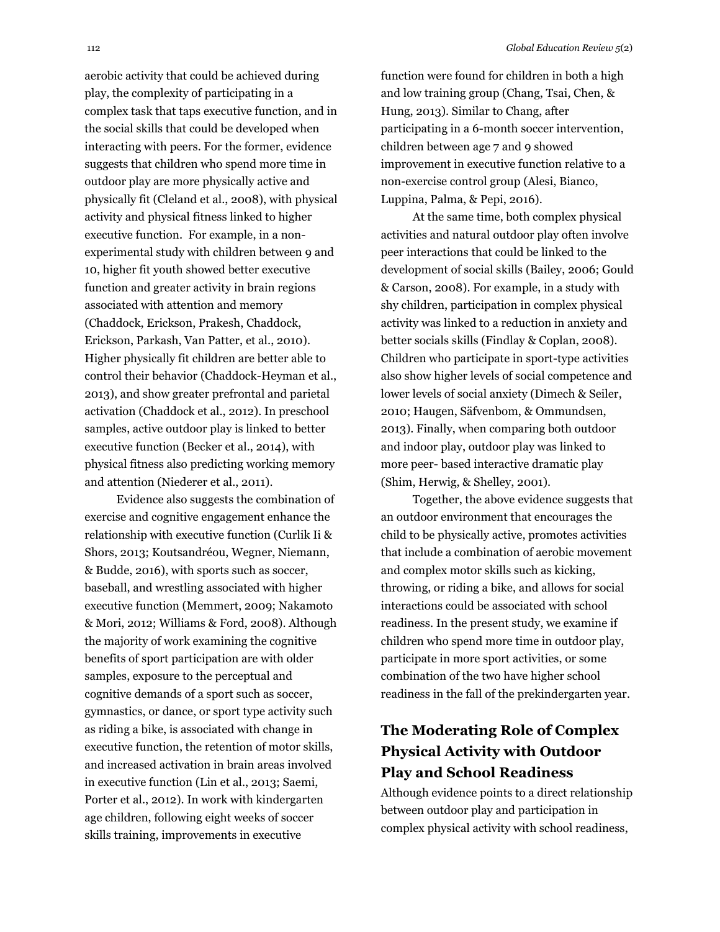aerobic activity that could be achieved during play, the complexity of participating in a complex task that taps executive function, and in the social skills that could be developed when interacting with peers. For the former, evidence suggests that children who spend more time in outdoor play are more physically active and physically fit (Cleland et al., 2008), with physical activity and physical fitness linked to higher executive function. For example, in a nonexperimental study with children between 9 and 10, higher fit youth showed better executive function and greater activity in brain regions associated with attention and memory (Chaddock, Erickson, Prakesh, Chaddock, Erickson, Parkash, Van Patter, et al., 2010). Higher physically fit children are better able to control their behavior (Chaddock-Heyman et al., 2013), and show greater prefrontal and parietal activation (Chaddock et al., 2012). In preschool samples, active outdoor play is linked to better executive function (Becker et al., 2014), with physical fitness also predicting working memory and attention (Niederer et al., 2011).

Evidence also suggests the combination of exercise and cognitive engagement enhance the relationship with executive function (Curlik Ii & Shors, 2013; Koutsandréou, Wegner, Niemann, & Budde, 2016), with sports such as soccer, baseball, and wrestling associated with higher executive function (Memmert, 2009; Nakamoto & Mori, 2012; Williams & Ford, 2008). Although the majority of work examining the cognitive benefits of sport participation are with older samples, exposure to the perceptual and cognitive demands of a sport such as soccer, gymnastics, or dance, or sport type activity such as riding a bike, is associated with change in executive function, the retention of motor skills, and increased activation in brain areas involved in executive function (Lin et al., 2013; Saemi, Porter et al., 2012). In work with kindergarten age children, following eight weeks of soccer skills training, improvements in executive

function were found for children in both a high and low training group (Chang, Tsai, Chen, & Hung, 2013). Similar to Chang, after participating in a 6-month soccer intervention, children between age 7 and 9 showed improvement in executive function relative to a non-exercise control group (Alesi, Bianco, Luppina, Palma, & Pepi, 2016).

At the same time, both complex physical activities and natural outdoor play often involve peer interactions that could be linked to the development of social skills (Bailey, 2006; Gould & Carson, 2008). For example, in a study with shy children, participation in complex physical activity was linked to a reduction in anxiety and better socials skills (Findlay & Coplan, 2008). Children who participate in sport-type activities also show higher levels of social competence and lower levels of social anxiety (Dimech & Seiler, 2010; Haugen, Säfvenbom, & Ommundsen, 2013). Finally, when comparing both outdoor and indoor play, outdoor play was linked to more peer- based interactive dramatic play (Shim, Herwig, & Shelley, 2001).

Together, the above evidence suggests that an outdoor environment that encourages the child to be physically active, promotes activities that include a combination of aerobic movement and complex motor skills such as kicking, throwing, or riding a bike, and allows for social interactions could be associated with school readiness. In the present study, we examine if children who spend more time in outdoor play, participate in more sport activities, or some combination of the two have higher school readiness in the fall of the prekindergarten year.

# **The Moderating Role of Complex Physical Activity with Outdoor Play and School Readiness**

Although evidence points to a direct relationship between outdoor play and participation in complex physical activity with school readiness,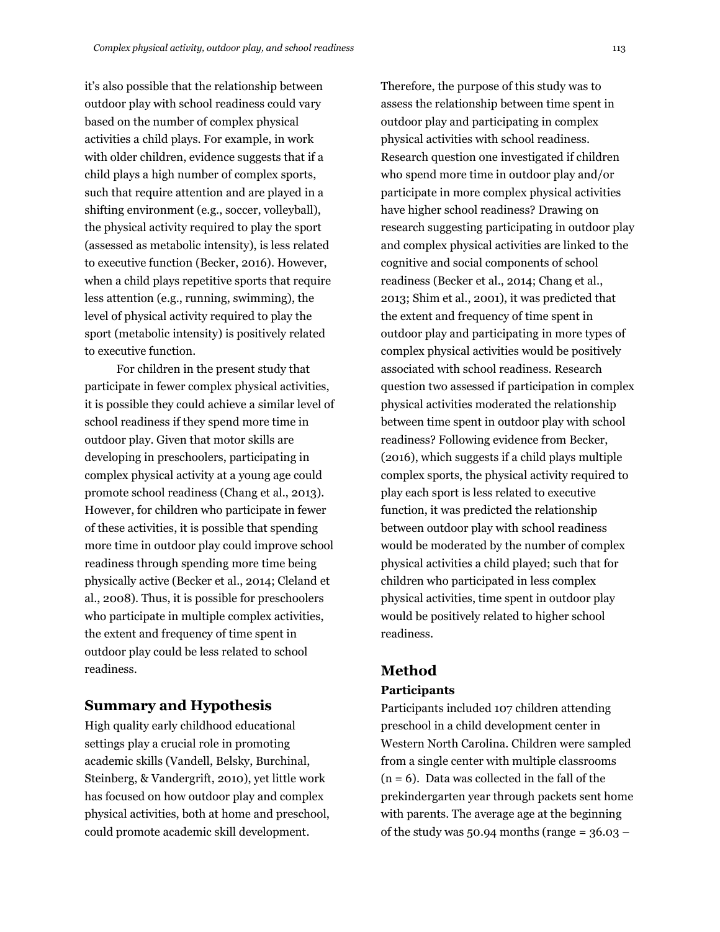it's also possible that the relationship between outdoor play with school readiness could vary based on the number of complex physical activities a child plays. For example, in work with older children, evidence suggests that if a child plays a high number of complex sports, such that require attention and are played in a shifting environment (e.g., soccer, volleyball), the physical activity required to play the sport (assessed as metabolic intensity), is less related to executive function (Becker, 2016). However, when a child plays repetitive sports that require less attention (e.g., running, swimming), the level of physical activity required to play the sport (metabolic intensity) is positively related to executive function.

For children in the present study that participate in fewer complex physical activities, it is possible they could achieve a similar level of school readiness if they spend more time in outdoor play. Given that motor skills are developing in preschoolers, participating in complex physical activity at a young age could promote school readiness (Chang et al., 2013). However, for children who participate in fewer of these activities, it is possible that spending more time in outdoor play could improve school readiness through spending more time being physically active (Becker et al., 2014; Cleland et al., 2008). Thus, it is possible for preschoolers who participate in multiple complex activities, the extent and frequency of time spent in outdoor play could be less related to school readiness.

## **Summary and Hypothesis**

High quality early childhood educational settings play a crucial role in promoting academic skills (Vandell, Belsky, Burchinal, Steinberg, & Vandergrift, 2010), yet little work has focused on how outdoor play and complex physical activities, both at home and preschool, could promote academic skill development.

Therefore, the purpose of this study was to assess the relationship between time spent in outdoor play and participating in complex physical activities with school readiness. Research question one investigated if children who spend more time in outdoor play and/or participate in more complex physical activities have higher school readiness? Drawing on research suggesting participating in outdoor play and complex physical activities are linked to the cognitive and social components of school readiness (Becker et al., 2014; Chang et al., 2013; Shim et al., 2001), it was predicted that the extent and frequency of time spent in outdoor play and participating in more types of complex physical activities would be positively associated with school readiness. Research question two assessed if participation in complex physical activities moderated the relationship between time spent in outdoor play with school readiness? Following evidence from Becker, (2016), which suggests if a child plays multiple complex sports, the physical activity required to play each sport is less related to executive function, it was predicted the relationship between outdoor play with school readiness would be moderated by the number of complex physical activities a child played; such that for children who participated in less complex physical activities, time spent in outdoor play would be positively related to higher school readiness.

### **Method**

#### **Participants**

Participants included 107 children attending preschool in a child development center in Western North Carolina. Children were sampled from a single center with multiple classrooms  $(n = 6)$ . Data was collected in the fall of the prekindergarten year through packets sent home with parents. The average age at the beginning of the study was  $50.94$  months (range =  $36.03$  –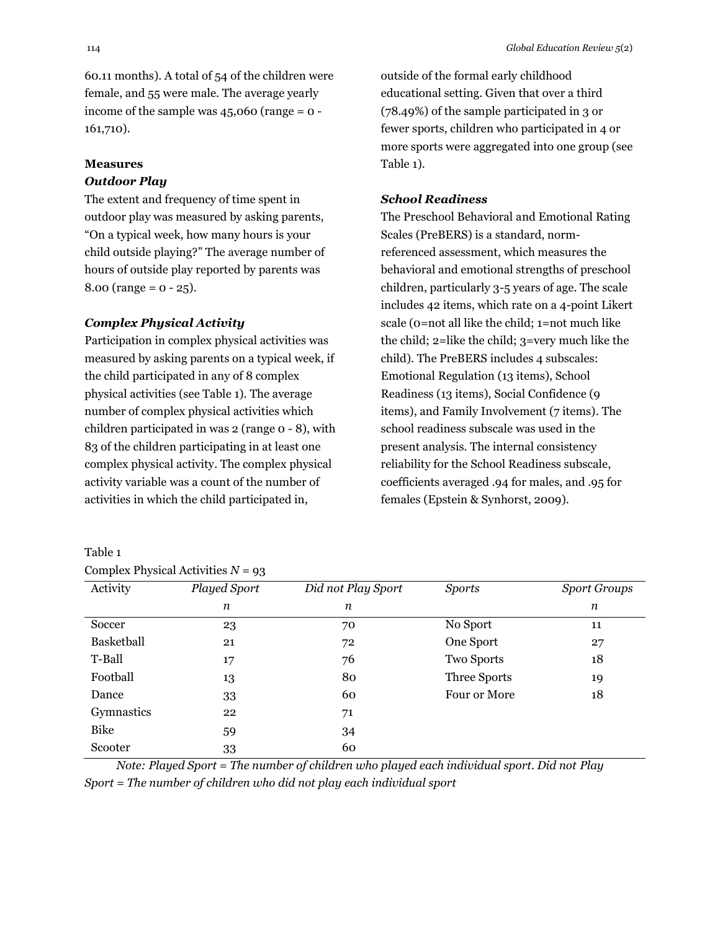60.11 months). A total of 54 of the children were female, and 55 were male. The average yearly income of the sample was  $45,060$  (range =  $0 -$ 161,710).

#### **Measures**

Table 1

## *Outdoor Play*

The extent and frequency of time spent in outdoor play was measured by asking parents, "On a typical week, how many hours is your child outside playing?" The average number of hours of outside play reported by parents was 8.00 (range =  $0 - 25$ ).

### *Complex Physical Activity*

Participation in complex physical activities was measured by asking parents on a typical week, if the child participated in any of 8 complex physical activities (see Table 1). The average number of complex physical activities which children participated in was 2 (range 0 - 8), with 83 of the children participating in at least one complex physical activity. The complex physical activity variable was a count of the number of activities in which the child participated in,

outside of the formal early childhood educational setting. Given that over a third (78.49%) of the sample participated in 3 or fewer sports, children who participated in 4 or more sports were aggregated into one group (see Table 1).

#### *School Readiness*

The Preschool Behavioral and Emotional Rating Scales (PreBERS) is a standard, normreferenced assessment, which measures the behavioral and emotional strengths of preschool children, particularly 3-5 years of age. The scale includes 42 items, which rate on a 4-point Likert scale (0=not all like the child; 1=not much like the child; 2=like the child; 3=very much like the child). The PreBERS includes 4 subscales: Emotional Regulation (13 items), School Readiness (13 items), Social Confidence (9 items), and Family Involvement (7 items). The school readiness subscale was used in the present analysis. The internal consistency reliability for the School Readiness subscale, coefficients averaged .94 for males, and .95 for females (Epstein & Synhorst, 2009).

| Complex Physical Activities $N = 93$ |                     |                    |               |                     |  |  |  |  |
|--------------------------------------|---------------------|--------------------|---------------|---------------------|--|--|--|--|
| Activity                             | <b>Played Sport</b> | Did not Play Sport | <b>Sports</b> | <b>Sport Groups</b> |  |  |  |  |
|                                      | n                   | n                  |               | n                   |  |  |  |  |
| Soccer                               | 23                  | 70                 | No Sport      | 11                  |  |  |  |  |
| <b>Basketball</b>                    | 21                  | 72                 | One Sport     | 27                  |  |  |  |  |
| T-Ball                               | 17                  | 76                 | Two Sports    | 18                  |  |  |  |  |
| Football                             | 13                  | 80                 | Three Sports  | 19                  |  |  |  |  |
| Dance                                | 33                  | 60                 | Four or More  | 18                  |  |  |  |  |
| Gymnastics                           | 22                  | 71                 |               |                     |  |  |  |  |
| <b>Bike</b>                          | 59                  | 34                 |               |                     |  |  |  |  |
| Scooter                              | 33                  | 60                 |               |                     |  |  |  |  |

*Note: Played Sport = The number of children who played each individual sport. Did not Play Sport = The number of children who did not play each individual sport*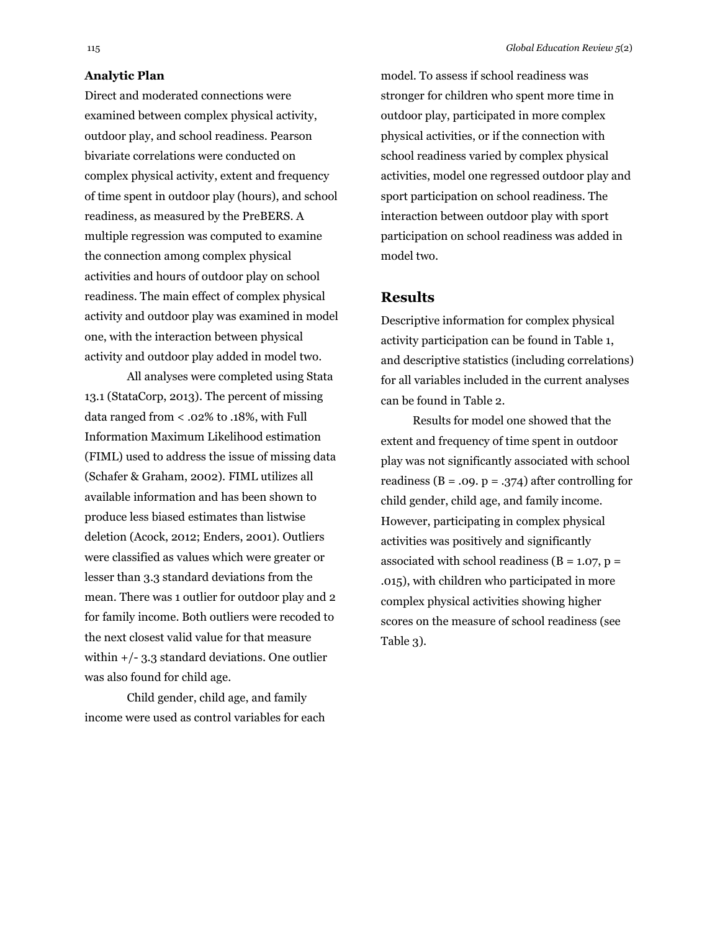Direct and moderated connections were examined between complex physical activity, outdoor play, and school readiness. Pearson bivariate correlations were conducted on complex physical activity, extent and frequency of time spent in outdoor play (hours), and school readiness, as measured by the PreBERS. A multiple regression was computed to examine the connection among complex physical activities and hours of outdoor play on school readiness. The main effect of complex physical activity and outdoor play was examined in model one, with the interaction between physical activity and outdoor play added in model two.

All analyses were completed using Stata 13.1 (StataCorp, 2013). The percent of missing data ranged from < .02% to .18%, with Full Information Maximum Likelihood estimation (FIML) used to address the issue of missing data (Schafer & Graham, 2002). FIML utilizes all available information and has been shown to produce less biased estimates than listwise deletion (Acock, 2012; Enders, 2001). Outliers were classified as values which were greater or lesser than 3.3 standard deviations from the mean. There was 1 outlier for outdoor play and 2 for family income. Both outliers were recoded to the next closest valid value for that measure within +/- 3.3 standard deviations. One outlier was also found for child age.

Child gender, child age, and family income were used as control variables for each model. To assess if school readiness was stronger for children who spent more time in outdoor play, participated in more complex physical activities, or if the connection with school readiness varied by complex physical activities, model one regressed outdoor play and sport participation on school readiness. The interaction between outdoor play with sport participation on school readiness was added in model two.

## **Results**

Descriptive information for complex physical activity participation can be found in Table 1, and descriptive statistics (including correlations) for all variables included in the current analyses can be found in Table 2.

Results for model one showed that the extent and frequency of time spent in outdoor play was not significantly associated with school readiness ( $B = .09$ .  $p = .374$ ) after controlling for child gender, child age, and family income. However, participating in complex physical activities was positively and significantly associated with school readiness ( $B = 1.07$ ,  $p =$ .015), with children who participated in more complex physical activities showing higher scores on the measure of school readiness (see Table 3).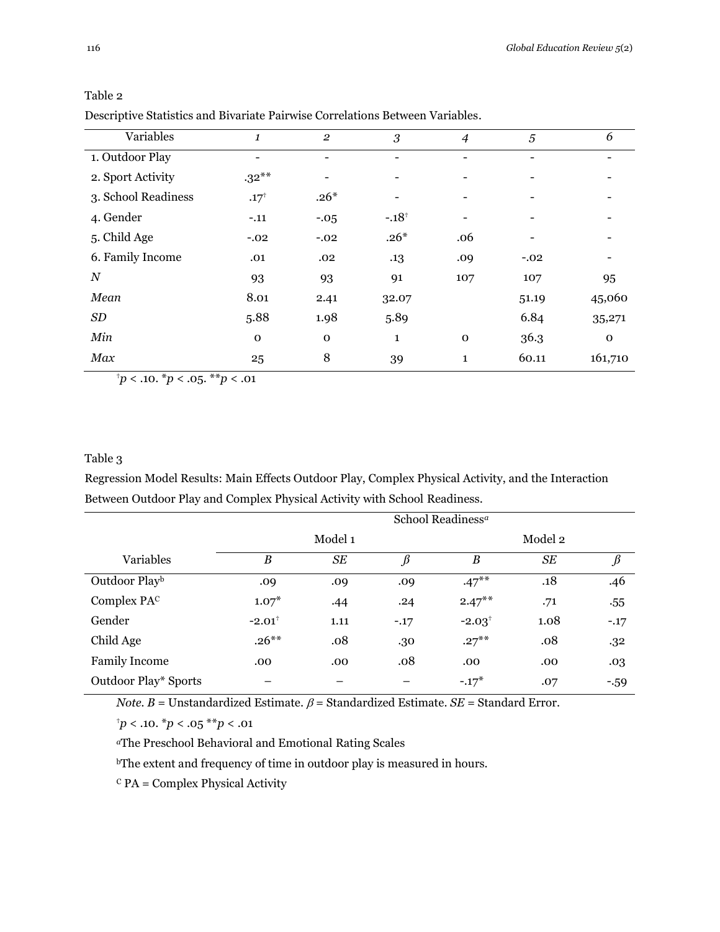| Variables           | $\mathbf{1}$     | $\overline{2}$ | 3                        | $\overline{4}$ | 5      | 6           |
|---------------------|------------------|----------------|--------------------------|----------------|--------|-------------|
| 1. Outdoor Play     |                  | -              | -                        |                |        |             |
| 2. Sport Activity   | $.32***$         |                |                          |                |        |             |
| 3. School Readiness | .17 <sup>†</sup> | $.26*$         | $\overline{\phantom{0}}$ |                |        |             |
| 4. Gender           | $-.11$           | $-.05$         | $-0.18^{\dagger}$        |                |        |             |
| 5. Child Age        | $-.02$           | $-.02$         | $.26*$                   | .06            |        |             |
| 6. Family Income    | .01              | .02            | $.13\,$                  | .09            | $-.02$ |             |
| $\cal N$            | 93               | 93             | 91                       | 107            | 107    | 95          |
| Mean                | 8.01             | 2.41           | 32.07                    |                | 51.19  | 45,060      |
| SD                  | 5.88             | 1.98           | 5.89                     |                | 6.84   | 35,271      |
| Min                 | $\mathbf{O}$     | $\mathbf{0}$   | $\mathbf{1}$             | $\mathbf 0$    | 36.3   | $\mathbf 0$ |
| Max                 | 25               | 8              | 39                       | $\mathbf{1}$   | 60.11  | 161,710     |
|                     |                  |                |                          |                |        |             |

#### Table 2

Descriptive Statistics and Bivariate Pairwise Correlations Between Variables*.*

 $\phi$  + *p* < .10.  $\phi$  × .05. \*\**p* < .01

### Table 3

Regression Model Results: Main Effects Outdoor Play, Complex Physical Activity, and the Interaction Between Outdoor Play and Complex Physical Activity with School Readiness.

|                      | School Readiness <sup>a</sup> |           |         |                   |           |         |  |
|----------------------|-------------------------------|-----------|---------|-------------------|-----------|---------|--|
|                      | Model 1                       |           |         | Model 2           |           |         |  |
| Variables            | B                             | <b>SE</b> | $\beta$ | B                 | <b>SE</b> | $\beta$ |  |
| Outdoor Playb        | .09                           | .09       | .09     | $.47***$          | .18       | .46     |  |
| Complex PAC          | $1.07*$                       | .44       | .24     | $2.47***$         | .71       | .55     |  |
| Gender               | $-2.01$ <sup>†</sup>          | 1.11      | $-.17$  | $-2.03^{\dagger}$ | 1.08      | $-.17$  |  |
| Child Age            | $.26***$                      | .08       | .30     | $.27***$          | .08       | .32     |  |
| <b>Family Income</b> | .00                           | .00       | .08     | .00               | .00       | .03     |  |
| Outdoor Play* Sports |                               |           |         | $-.17*$           | .07       | $-.59$  |  |

*Note. B* = Unstandardized Estimate.  $\beta$  = Standardized Estimate. *SE* = Standard Error.

†*p* < .10. \**p* < .05 \*\**p* < .01

*<sup>a</sup>*The Preschool Behavioral and Emotional Rating Scales

<sup>b</sup>The extent and frequency of time in outdoor play is measured in hours.

 $C$  PA = Complex Physical Activity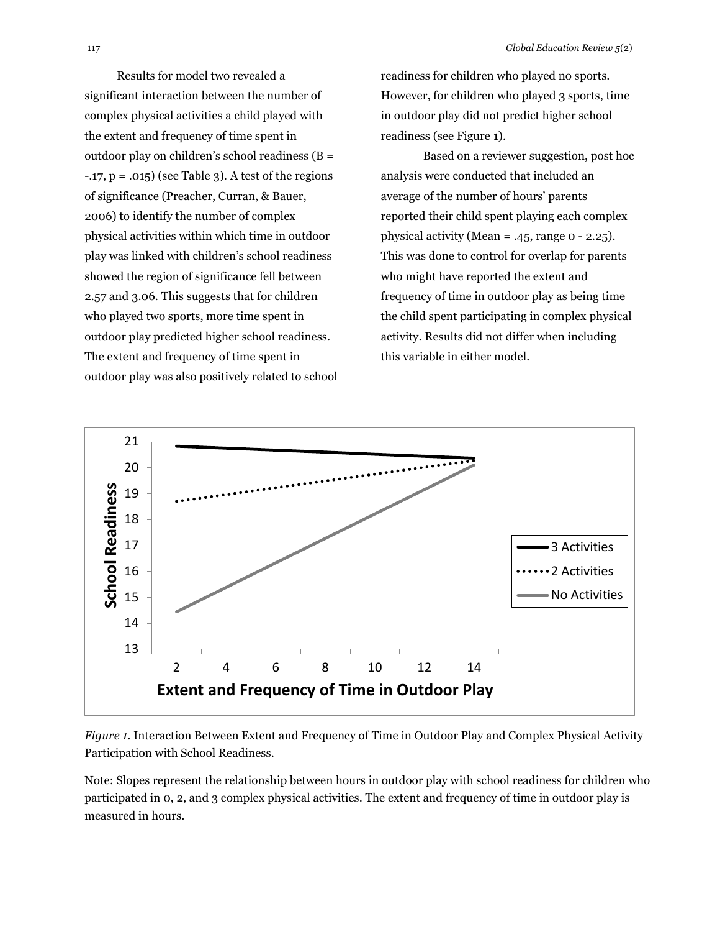Results for model two revealed a significant interaction between the number of complex physical activities a child played with the extent and frequency of time spent in outdoor play on children's school readiness (B =  $-17$ ,  $p = .015$ ) (see Table 3). A test of the regions of significance (Preacher, Curran, & Bauer, 2006) to identify the number of complex physical activities within which time in outdoor play was linked with children's school readiness showed the region of significance fell between 2.57 and 3.06. This suggests that for children who played two sports, more time spent in outdoor play predicted higher school readiness. The extent and frequency of time spent in outdoor play was also positively related to school readiness for children who played no sports. However, for children who played 3 sports, time in outdoor play did not predict higher school readiness (see Figure 1).

Based on a reviewer suggestion, post hoc analysis were conducted that included an average of the number of hours' parents reported their child spent playing each complex physical activity (Mean = .45, range  $o - 2.25$ ). This was done to control for overlap for parents who might have reported the extent and frequency of time in outdoor play as being time the child spent participating in complex physical activity. Results did not differ when including this variable in either model.



*Figure 1*. Interaction Between Extent and Frequency of Time in Outdoor Play and Complex Physical Activity Participation with School Readiness.

Note: Slopes represent the relationship between hours in outdoor play with school readiness for children who participated in 0, 2, and 3 complex physical activities. The extent and frequency of time in outdoor play is measured in hours.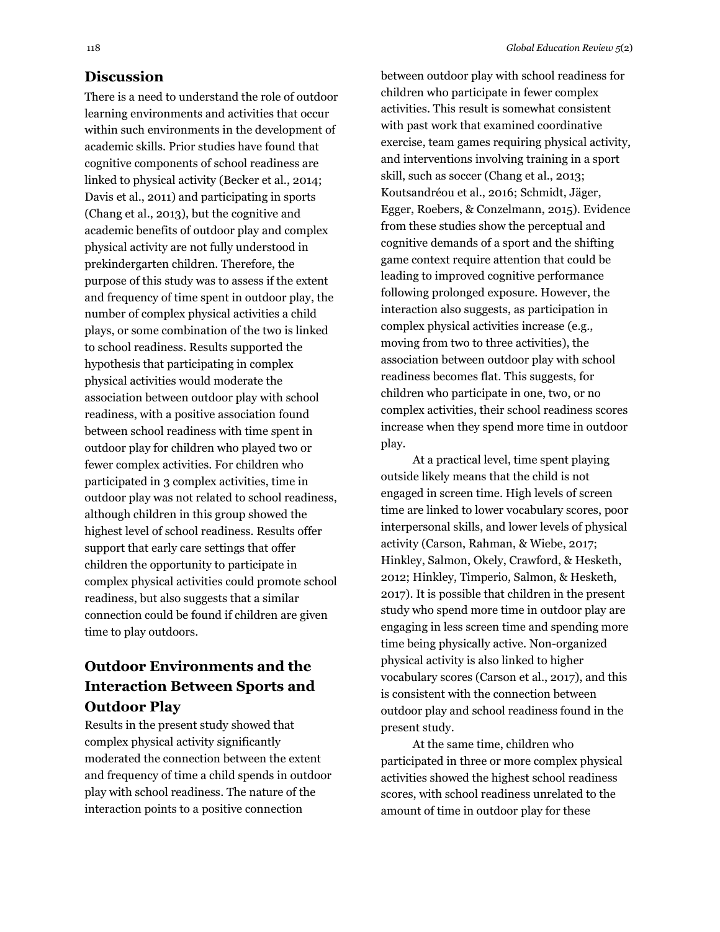There is a need to understand the role of outdoor learning environments and activities that occur within such environments in the development of academic skills. Prior studies have found that cognitive components of school readiness are linked to physical activity (Becker et al., 2014; Davis et al., 2011) and participating in sports (Chang et al., 2013), but the cognitive and academic benefits of outdoor play and complex physical activity are not fully understood in prekindergarten children. Therefore, the purpose of this study was to assess if the extent and frequency of time spent in outdoor play, the number of complex physical activities a child plays, or some combination of the two is linked to school readiness. Results supported the hypothesis that participating in complex physical activities would moderate the association between outdoor play with school readiness, with a positive association found between school readiness with time spent in outdoor play for children who played two or fewer complex activities. For children who participated in 3 complex activities, time in outdoor play was not related to school readiness, although children in this group showed the highest level of school readiness. Results offer support that early care settings that offer children the opportunity to participate in complex physical activities could promote school readiness, but also suggests that a similar connection could be found if children are given time to play outdoors.

# **Outdoor Environments and the Interaction Between Sports and Outdoor Play**

Results in the present study showed that complex physical activity significantly moderated the connection between the extent and frequency of time a child spends in outdoor play with school readiness. The nature of the interaction points to a positive connection

between outdoor play with school readiness for children who participate in fewer complex activities. This result is somewhat consistent with past work that examined coordinative exercise, team games requiring physical activity, and interventions involving training in a sport skill, such as soccer (Chang et al., 2013; Koutsandréou et al., 2016; Schmidt, Jäger, Egger, Roebers, & Conzelmann, 2015). Evidence from these studies show the perceptual and cognitive demands of a sport and the shifting game context require attention that could be leading to improved cognitive performance following prolonged exposure. However, the interaction also suggests, as participation in complex physical activities increase (e.g., moving from two to three activities), the association between outdoor play with school readiness becomes flat. This suggests, for children who participate in one, two, or no complex activities, their school readiness scores increase when they spend more time in outdoor play.

At a practical level, time spent playing outside likely means that the child is not engaged in screen time. High levels of screen time are linked to lower vocabulary scores, poor interpersonal skills, and lower levels of physical activity (Carson, Rahman, & Wiebe, 2017; Hinkley, Salmon, Okely, Crawford, & Hesketh, 2012; Hinkley, Timperio, Salmon, & Hesketh, 2017). It is possible that children in the present study who spend more time in outdoor play are engaging in less screen time and spending more time being physically active. Non-organized physical activity is also linked to higher vocabulary scores (Carson et al., 2017), and this is consistent with the connection between outdoor play and school readiness found in the present study.

At the same time, children who participated in three or more complex physical activities showed the highest school readiness scores, with school readiness unrelated to the amount of time in outdoor play for these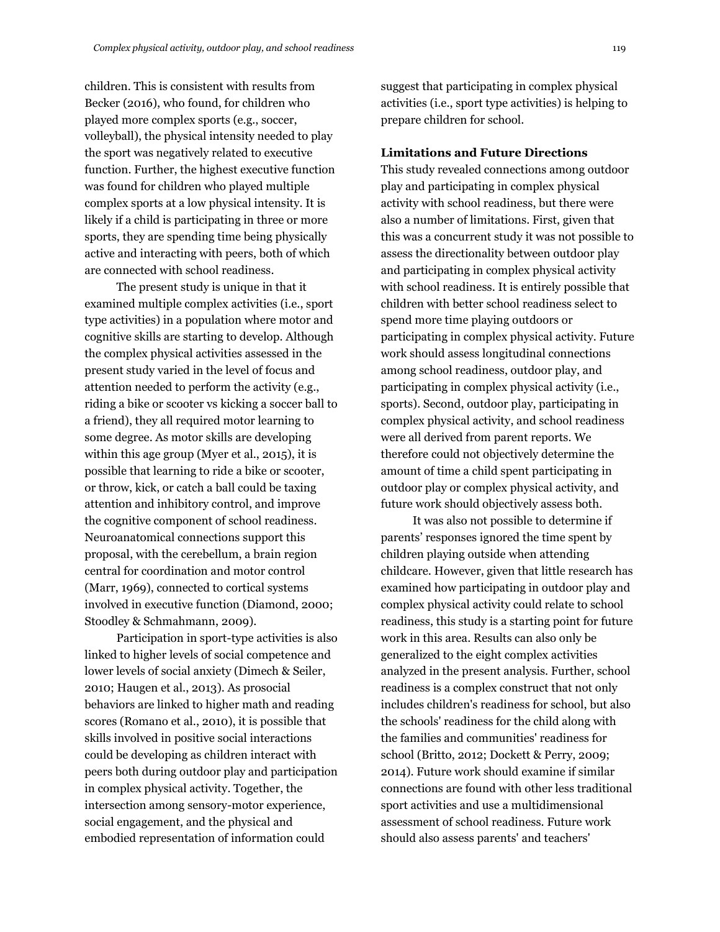children. This is consistent with results from Becker (2016), who found, for children who played more complex sports (e.g., soccer, volleyball), the physical intensity needed to play the sport was negatively related to executive function. Further, the highest executive function was found for children who played multiple complex sports at a low physical intensity. It is likely if a child is participating in three or more sports, they are spending time being physically active and interacting with peers, both of which are connected with school readiness.

The present study is unique in that it examined multiple complex activities (i.e., sport type activities) in a population where motor and cognitive skills are starting to develop. Although the complex physical activities assessed in the present study varied in the level of focus and attention needed to perform the activity (e.g., riding a bike or scooter vs kicking a soccer ball to a friend), they all required motor learning to some degree. As motor skills are developing within this age group (Myer et al., 2015), it is possible that learning to ride a bike or scooter, or throw, kick, or catch a ball could be taxing attention and inhibitory control, and improve the cognitive component of school readiness. Neuroanatomical connections support this proposal, with the cerebellum, a brain region central for coordination and motor control (Marr, 1969), connected to cortical systems involved in executive function (Diamond, 2000; Stoodley & Schmahmann, 2009).

Participation in sport-type activities is also linked to higher levels of social competence and lower levels of social anxiety (Dimech & Seiler, 2010; Haugen et al., 2013). As prosocial behaviors are linked to higher math and reading scores (Romano et al., 2010), it is possible that skills involved in positive social interactions could be developing as children interact with peers both during outdoor play and participation in complex physical activity. Together, the intersection among sensory-motor experience, social engagement, and the physical and embodied representation of information could

suggest that participating in complex physical activities (i.e., sport type activities) is helping to prepare children for school.

#### **Limitations and Future Directions**

This study revealed connections among outdoor play and participating in complex physical activity with school readiness, but there were also a number of limitations. First, given that this was a concurrent study it was not possible to assess the directionality between outdoor play and participating in complex physical activity with school readiness. It is entirely possible that children with better school readiness select to spend more time playing outdoors or participating in complex physical activity. Future work should assess longitudinal connections among school readiness, outdoor play, and participating in complex physical activity (i.e., sports). Second, outdoor play, participating in complex physical activity, and school readiness were all derived from parent reports. We therefore could not objectively determine the amount of time a child spent participating in outdoor play or complex physical activity, and future work should objectively assess both.

It was also not possible to determine if parents' responses ignored the time spent by children playing outside when attending childcare. However, given that little research has examined how participating in outdoor play and complex physical activity could relate to school readiness, this study is a starting point for future work in this area. Results can also only be generalized to the eight complex activities analyzed in the present analysis. Further, school readiness is a complex construct that not only includes children's readiness for school, but also the schools' readiness for the child along with the families and communities' readiness for school (Britto, 2012; Dockett & Perry, 2009; 2014). Future work should examine if similar connections are found with other less traditional sport activities and use a multidimensional assessment of school readiness. Future work should also assess parents' and teachers'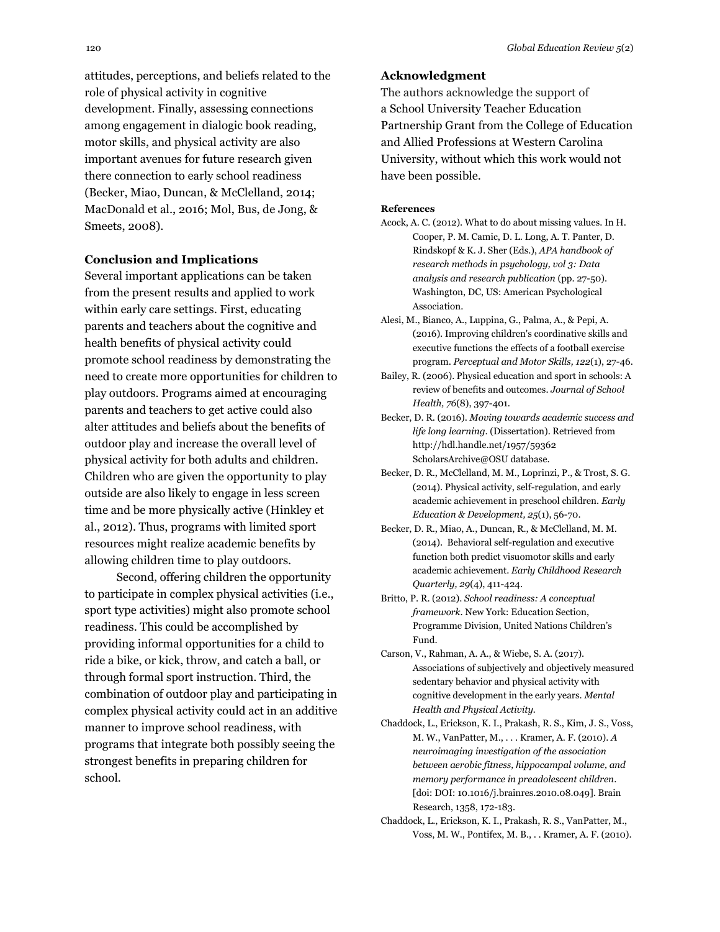attitudes, perceptions, and beliefs related to the role of physical activity in cognitive development. Finally, assessing connections among engagement in dialogic book reading, motor skills, and physical activity are also important avenues for future research given there connection to early school readiness (Becker, Miao, Duncan, & McClelland, 2014; MacDonald et al., 2016; Mol, Bus, de Jong, & Smeets, 2008).

## **Conclusion and Implications**

Several important applications can be taken from the present results and applied to work within early care settings. First, educating parents and teachers about the cognitive and health benefits of physical activity could promote school readiness by demonstrating the need to create more opportunities for children to play outdoors. Programs aimed at encouraging parents and teachers to get active could also alter attitudes and beliefs about the benefits of outdoor play and increase the overall level of physical activity for both adults and children. Children who are given the opportunity to play outside are also likely to engage in less screen time and be more physically active (Hinkley et al., 2012). Thus, programs with limited sport resources might realize academic benefits by allowing children time to play outdoors.

Second, offering children the opportunity to participate in complex physical activities (i.e., sport type activities) might also promote school readiness. This could be accomplished by providing informal opportunities for a child to ride a bike, or kick, throw, and catch a ball, or through formal sport instruction. Third, the combination of outdoor play and participating in complex physical activity could act in an additive manner to improve school readiness, with programs that integrate both possibly seeing the strongest benefits in preparing children for school.

### **Acknowledgment**

The authors acknowledge the support of a School University Teacher Education Partnership Grant from the College of Education and Allied Professions at Western Carolina University, without which this work would not have been possible.

#### **References**

- Acock, A. C. (2012). What to do about missing values. In H. Cooper, P. M. Camic, D. L. Long, A. T. Panter, D. Rindskopf & K. J. Sher (Eds.), *APA handbook of research methods in psychology, vol 3: Data analysis and research publication* (pp. 27-50). Washington, DC, US: American Psychological Association.
- Alesi, M., Bianco, A., Luppina, G., Palma, A., & Pepi, A. (2016). Improving children's coordinative skills and executive functions the effects of a football exercise program. *Perceptual and Motor Skills, 122*(1), 27-46.
- Bailey, R. (2006). Physical education and sport in schools: A review of benefits and outcomes. *Journal of School Health, 76*(8), 397-401.
- Becker, D. R. (2016). *Moving towards academic success and life long learning*. (Dissertation). Retrieved from http://hdl.handle.net/1957/59362 ScholarsArchive@OSU database.
- Becker, D. R., McClelland, M. M., Loprinzi, P., & Trost, S. G. (2014). Physical activity, self-regulation, and early academic achievement in preschool children. *Early Education & Development, 25*(1), 56-70.
- Becker, D. R., Miao, A., Duncan, R., & McClelland, M. M. (2014). Behavioral self-regulation and executive function both predict visuomotor skills and early academic achievement. *Early Childhood Research Quarterly, 29*(4), 411-424.
- Britto, P. R. (2012). *School readiness: A conceptual framework*. New York: Education Section, Programme Division, United Nations Children's Fund.
- Carson, V., Rahman, A. A., & Wiebe, S. A. (2017). Associations of subjectively and objectively measured sedentary behavior and physical activity with cognitive development in the early years. *Mental Health and Physical Activity.*
- Chaddock, L., Erickson, K. I., Prakash, R. S., Kim, J. S., Voss, M. W., VanPatter, M., . . . Kramer, A. F. (2010). *A neuroimaging investigation of the association between aerobic fitness, hippocampal volume, and memory performance in preadolescent children*. [doi: DOI: 10.1016/j.brainres.2010.08.049]. Brain Research, 1358, 172-183.
- Chaddock, L., Erickson, K. I., Prakash, R. S., VanPatter, M., Voss, M. W., Pontifex, M. B., . . Kramer, A. F. (2010).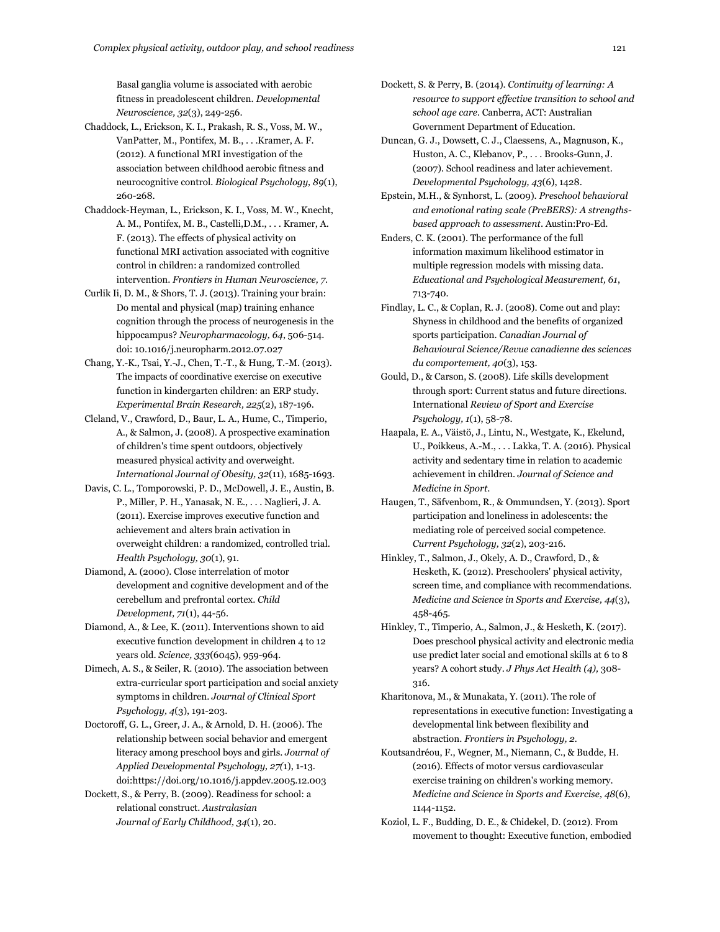Basal ganglia volume is associated with aerobic fitness in preadolescent children. *Developmental Neuroscience, 32*(3), 249-256.

- Chaddock, L., Erickson, K. I., Prakash, R. S., Voss, M. W., VanPatter, M., Pontifex, M. B., . . .Kramer, A. F. (2012). A functional MRI investigation of the association between childhood aerobic fitness and neurocognitive control. *Biological Psychology, 89*(1), 260-268.
- Chaddock-Heyman, L., Erickson, K. I., Voss, M. W., Knecht, A. M., Pontifex, M. B., Castelli,D.M., . . . Kramer, A. F. (2013). The effects of physical activity on functional MRI activation associated with cognitive control in children: a randomized controlled intervention. *Frontiers in Human Neuroscience, 7*.
- Curlik Ii, D. M., & Shors, T. J. (2013). Training your brain: Do mental and physical (map) training enhance cognition through the process of neurogenesis in the hippocampus? *Neuropharmacology, 64*, 506-514. doi: 10.1016/j.neuropharm.2012.07.027
- Chang, Y.-K., Tsai, Y.-J., Chen, T.-T., & Hung, T.-M. (2013). The impacts of coordinative exercise on executive function in kindergarten children: an ERP study. *Experimental Brain Research, 225*(2), 187-196.
- Cleland, V., Crawford, D., Baur, L. A., Hume, C., Timperio, A., & Salmon, J. (2008). A prospective examination of children's time spent outdoors, objectively measured physical activity and overweight. *International Journal of Obesity, 32*(11), 1685-1693.
- Davis, C. L., Tomporowski, P. D., McDowell, J. E., Austin, B. P., Miller, P. H., Yanasak, N. E., . . . Naglieri, J. A. (2011). Exercise improves executive function and achievement and alters brain activation in overweight children: a randomized, controlled trial. *Health Psychology, 30*(1), 91.
- Diamond, A. (2000). Close interrelation of motor development and cognitive development and of the cerebellum and prefrontal cortex. *Child Development, 71*(1), 44-56.
- Diamond, A., & Lee, K. (2011). Interventions shown to aid executive function development in children 4 to 12 years old. *Science, 333*(6045), 959-964.
- Dimech, A. S., & Seiler, R. (2010). The association between extra-curricular sport participation and social anxiety symptoms in children. *Journal of Clinical Sport Psychology, 4*(3), 191-203.
- Doctoroff, G. L., Greer, J. A., & Arnold, D. H. (2006). The relationship between social behavior and emergent literacy among preschool boys and girls. *Journal of Applied Developmental Psychology, 27(*1), 1-13. doi:https://doi.org/10.1016/j.appdev.2005.12.003
- Dockett, S., & Perry, B. (2009). Readiness for school: a relational construct. *Australasian Journal of Early Childhood, 34*(1), 20.
- Dockett, S. & Perry, B. (2014). *Continuity of learning: A resource to support effective transition to school and school age care*. Canberra, ACT: Australian Government Department of Education.
- Duncan, G. J., Dowsett, C. J., Claessens, A., Magnuson, K., Huston, A. C., Klebanov, P., . . . Brooks-Gunn, J. (2007). School readiness and later achievement. *Developmental Psychology, 43*(6), 1428.
- Epstein, M.H., & Synhorst, L. (2009). *Preschool behavioral and emotional rating scale (PreBERS): A strengthsbased approach to assessment*. Austin:Pro-Ed.
- Enders, C. K. (2001). The performance of the full information maximum likelihood estimator in multiple regression models with missing data. *Educational and Psychological Measurement, 61*, 713-740.
- Findlay, L. C., & Coplan, R. J. (2008). Come out and play: Shyness in childhood and the benefits of organized sports participation. *Canadian Journal of Behavioural Science/Revue canadienne des sciences du comportement, 40*(3), 153.
- Gould, D., & Carson, S. (2008). Life skills development through sport: Current status and future directions. International *Review of Sport and Exercise Psychology, 1*(1), 58-78.
- Haapala, E. A., Väistö, J., Lintu, N., Westgate, K., Ekelund, U., Poikkeus, A.-M., . . . Lakka, T. A. (2016). Physical activity and sedentary time in relation to academic achievement in children. *Journal of Science and Medicine in Sport*.
- Haugen, T., Säfvenbom, R., & Ommundsen, Y. (2013). Sport participation and loneliness in adolescents: the mediating role of perceived social competence. *Current Psychology, 32*(2), 203-216.
- Hinkley, T., Salmon, J., Okely, A. D., Crawford, D., & Hesketh, K. (2012). Preschoolers' physical activity, screen time, and compliance with recommendations. *Medicine and Science in Sports and Exercise, 44*(3), 458-465.
- Hinkley, T., Timperio, A., Salmon, J., & Hesketh, K. (2017). Does preschool physical activity and electronic media use predict later social and emotional skills at 6 to 8 years? A cohort study. *[J Phys Act Health](https://www.ncbi.nlm.nih.gov/pubmed/28169562) (4),* 308- 316.
- Kharitonova, M., & Munakata, Y. (2011). The role of representations in executive function: Investigating a developmental link between flexibility and abstraction. *Frontiers in Psychology, 2.*
- Koutsandréou, F., Wegner, M., Niemann, C., & Budde, H. (2016). Effects of motor versus cardiovascular exercise training on children's working memory. *Medicine and Science in Sports and Exercise, 48*(6), 1144-1152.
- Koziol, L. F., Budding, D. E., & Chidekel, D. (2012). From movement to thought: Executive function, embodied